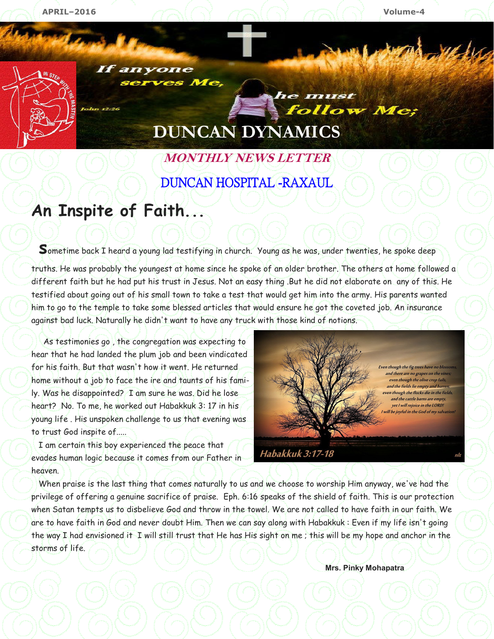

If anyone serves Me,

# **DUNCAN DYNAMICS**

he must

follow Me;

## **MONTHLY NEWS LETTER**  DUNCAN HOSPITAL -RAXAUL

## **An Inspite of Faith...**

Sometime back I heard a young lad testifying in church. Young as he was, under twenties, he spoke deep truths. He was probably the youngest at home since he spoke of an older brother. The others at home followed a different faith but he had put his trust in Jesus. Not an easy thing .But he did not elaborate on any of this. He testified about going out of his small town to take a test that would get him into the army. His parents wanted him to go to the temple to take some blessed articles that would ensure he got the coveted job. An insurance against bad luck. Naturally he didn't want to have any truck with those kind of notions.

 As testimonies go , the congregation was expecting to hear that he had landed the plum job and been vindicated for his faith. But that wasn't how it went. He returned home without a job to face the ire and taunts of his family. Was he disappointed? I am sure he was. Did he lose heart? No. To me, he worked out Habakkuk 3: 17 in his young life . His unspoken challenge to us that evening was to trust God inspite of.....

 I am certain this boy experienced the peace that evades human logic because it comes from our Father in heaven.

Even though the fig trees have no blos. and there are no grapes on the vine. even though the olive crop fails, and the fields lie empty and barre even though the flocks die in the fields, and the cattle barns are empty, yet I will rejoice in the LORD! will be joyful in the God of my salvation!

Habakkuk 3:17-18

 When praise is the last thing that comes naturally to us and we choose to worship Him anyway, we've had the privilege of offering a genuine sacrifice of praise. Eph. 6:16 speaks of the shield of faith. This is our protection when Satan tempts us to disbelieve God and throw in the towel. We are not called to have faith in our faith. We are to have faith in God and never doubt Him. Then we can say along with Habakkuk : Even if my life isn't going the way I had envisioned it I will still trust that He has His sight on me ; this will be my hope and anchor in the storms of life.

**Mrs. Pinky Mohapatra**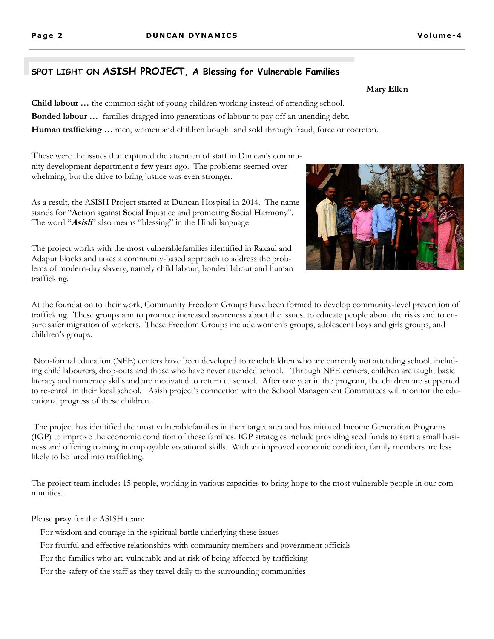#### **SPOT LIGHT ON ASISH PROJECT, A Blessing for Vulnerable Families**

**Child labour …** the common sight of young children working instead of attending school. **Bonded labour …** families dragged into generations of labour to pay off an unending debt. **Human trafficking …** men, women and children bought and sold through fraud, force or coercion.

**T**hese were the issues that captured the attention of staff in Duncan's community development department a few years ago. The problems seemed overwhelming, but the drive to bring justice was even stronger.

As a result, the ASISH Project started at Duncan Hospital in 2014. The name stands for "**A**ction against **S**ocial **I**njustice and promoting **S**ocial **H**armony". The word "**Asish**" also means "blessing" in the Hindi language

The project works with the most vulnerablefamilies identified in Raxaul and Adapur blocks and takes a community-based approach to address the problems of modern-day slavery, namely child labour, bonded labour and human trafficking.

At the foundation to their work, Community Freedom Groups have been formed to develop community-level prevention of trafficking. These groups aim to promote increased awareness about the issues, to educate people about the risks and to ensure safer migration of workers. These Freedom Groups include women's groups, adolescent boys and girls groups, and children's groups.

Non-formal education (NFE) centers have been developed to reachchildren who are currently not attending school, including child labourers, drop-outs and those who have never attended school. Through NFE centers, children are taught basic literacy and numeracy skills and are motivated to return to school. After one year in the program, the children are supported to re-enroll in their local school. Asish project's connection with the School Management Committees will monitor the educational progress of these children.

 The project has identified the most vulnerablefamilies in their target area and has initiated Income Generation Programs (IGP) to improve the economic condition of these families. IGP strategies include providing seed funds to start a small business and offering training in employable vocational skills. With an improved economic condition, family members are less likely to be lured into trafficking.

The project team includes 15 people, working in various capacities to bring hope to the most vulnerable people in our communities.

Please **pray** for the ASISH team:

For wisdom and courage in the spiritual battle underlying these issues

For fruitful and effective relationships with community members and government officials

For the families who are vulnerable and at risk of being affected by trafficking

For the safety of the staff as they travel daily to the surrounding communities

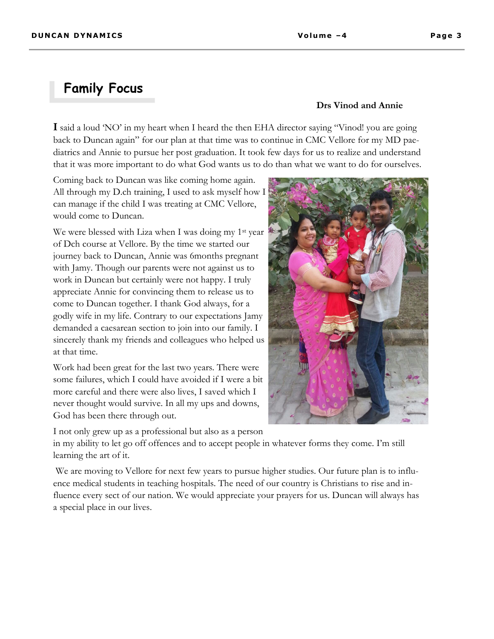### **Family Focus**

#### **Drs Vinod and Annie**

**I** said a loud 'NO' in my heart when I heard the then EHA director saying "Vinod! you are going back to Duncan again" for our plan at that time was to continue in CMC Vellore for my MD paediatrics and Annie to pursue her post graduation. It took few days for us to realize and understand that it was more important to do what God wants us to do than what we want to do for ourselves.

Coming back to Duncan was like coming home again. All through my D.ch training, I used to ask myself how I can manage if the child I was treating at CMC Vellore, would come to Duncan.

We were blessed with Liza when I was doing my 1<sup>st</sup> year of Dch course at Vellore. By the time we started our journey back to Duncan, Annie was 6months pregnant with Jamy. Though our parents were not against us to work in Duncan but certainly were not happy. I truly appreciate Annie for convincing them to release us to come to Duncan together. I thank God always, for a godly wife in my life. Contrary to our expectations Jamy demanded a caesarean section to join into our family. I sincerely thank my friends and colleagues who helped us at that time.

Work had been great for the last two years. There were some failures, which I could have avoided if I were a bit more careful and there were also lives, I saved which I never thought would survive. In all my ups and downs, God has been there through out.

I not only grew up as a professional but also as a person

in my ability to let go off offences and to accept people in whatever forms they come. I'm still learning the art of it.

 We are moving to Vellore for next few years to pursue higher studies. Our future plan is to influence medical students in teaching hospitals. The need of our country is Christians to rise and influence every sect of our nation. We would appreciate your prayers for us. Duncan will always has a special place in our lives.